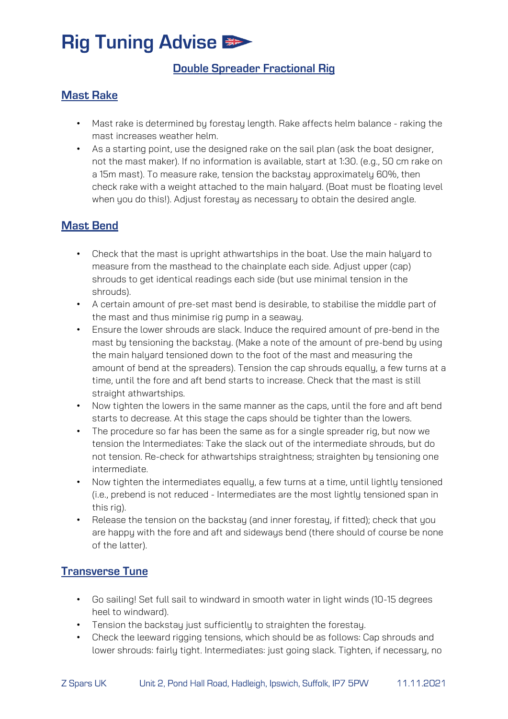# **Rig Tuning Advise #>**

## **Double Spreader Fractional Rig**

#### **Mast Rake**

- Mast rake is determined by forestay length. Rake affects helm balance raking the mast increases weather helm.
- As a starting point, use the designed rake on the sail plan (ask the boat designer, not the mast maker). If no information is available, start at 1:30. (e.g., 50 cm rake on a 15m mast). To measure rake, tension the backstay approximately 60%, then check rake with a weight attached to the main halyard. (Boat must be floating level when you do this!). Adjust forestay as necessary to obtain the desired angle.

### **Mast Bend**

- Check that the mast is upright athwartships in the boat. Use the main halyard to measure from the masthead to the chainplate each side. Adjust upper (cap) shrouds to get identical readings each side (but use minimal tension in the shrouds).
- A certain amount of pre-set mast bend is desirable, to stabilise the middle part of the mast and thus minimise rig pump in a seaway.
- Ensure the lower shrouds are slack. Induce the required amount of pre-bend in the mast by tensioning the backstay. (Make a note of the amount of pre-bend by using the main halyard tensioned down to the foot of the mast and measuring the amount of bend at the spreaders). Tension the cap shrouds equally, a few turns at a time, until the fore and aft bend starts to increase. Check that the mast is still straight athwartships.
- Now tighten the lowers in the same manner as the caps, until the fore and aft bend starts to decrease. At this stage the caps should be tighter than the lowers.
- The procedure so far has been the same as for a single spreader rig, but now we tension the Intermediates: Take the slack out of the intermediate shrouds, but do not tension. Re-check for athwartships straightness; straighten by tensioning one intermediate.
- Now tighten the intermediates equally, a few turns at a time, until lightly tensioned (i.e., prebend is not reduced - Intermediates are the most lightly tensioned span in this rig).
- Release the tension on the backstay (and inner forestay, if fitted); check that you are happy with the fore and aft and sideways bend (there should of course be none of the latter).

#### **Transverse Tune**

- Go sailing! Set full sail to windward in smooth water in light winds (10-15 degrees heel to windward).
- Tension the backstay just sufficiently to straighten the forestay.
- Check the leeward rigging tensions, which should be as follows: Cap shrouds and lower shrouds: fairly tight. Intermediates: just going slack. Tighten, if necessary, no